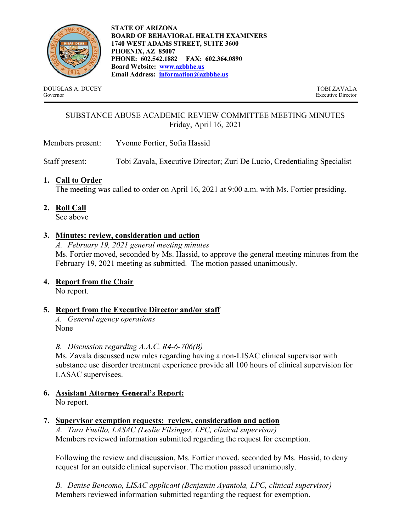

STATE OF ARIZONA BOARD OF BEHAVIORAL HEALTH EXAMINERS 1740 WEST ADAMS STREET, SUITE 3600 PHOENIX, AZ 85007 PHONE: 602.542.1882 FAX: 602.364.0890 Board Website: www.azbbhe.us Email Address: information@azbbhe.us

DOUGLAS A. DUCEY TOBI ZAVALA Governor Executive Director

# SUBSTANCE ABUSE ACADEMIC REVIEW COMMITTEE MEETING MINUTES Friday, April 16, 2021

Members present: Yvonne Fortier, Sofia Hassid

Staff present: Tobi Zavala, Executive Director; Zuri De Lucio, Credentialing Specialist

## 1. Call to Order

The meeting was called to order on April 16, 2021 at 9:00 a.m. with Ms. Fortier presiding.

2. Roll Call

See above

# 3. Minutes: review, consideration and action

A. February 19, 2021 general meeting minutes Ms. Fortier moved, seconded by Ms. Hassid, to approve the general meeting minutes from the February 19, 2021 meeting as submitted. The motion passed unanimously.

## 4. Report from the Chair

No report.

# 5. Report from the Executive Director and/or staff

A. General agency operations None

## B. Discussion regarding A.A.C. R4-6-706(B)

Ms. Zavala discussed new rules regarding having a non-LISAC clinical supervisor with substance use disorder treatment experience provide all 100 hours of clinical supervision for LASAC supervisees.

6. Assistant Attorney General's Report: No report.

## 7. Supervisor exemption requests: review, consideration and action

A. Tara Fusillo, LASAC (Leslie Filsinger, LPC, clinical supervisor) Members reviewed information submitted regarding the request for exemption.

Following the review and discussion, Ms. Fortier moved, seconded by Ms. Hassid, to deny request for an outside clinical supervisor. The motion passed unanimously.

B. Denise Bencomo, LISAC applicant (Benjamin Ayantola, LPC, clinical supervisor) Members reviewed information submitted regarding the request for exemption.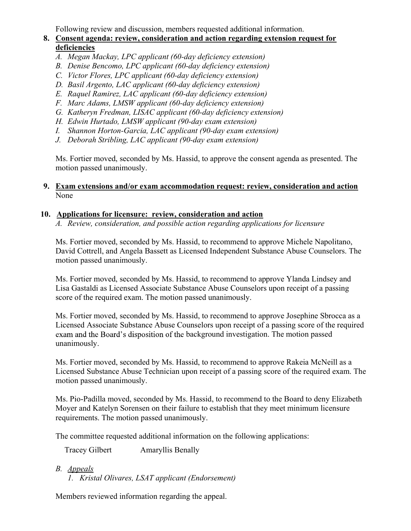Following review and discussion, members requested additional information.

# 8. Consent agenda: review, consideration and action regarding extension request for deficiencies

- A. Megan Mackay, LPC applicant (60-day deficiency extension)
- B. Denise Bencomo, LPC applicant (60-day deficiency extension)
- C. Victor Flores, LPC applicant (60-day deficiency extension)
- D. Basil Argento, LAC applicant (60-day deficiency extension)
- E. Raquel Ramirez, LAC applicant (60-day deficiency extension)
- F. Marc Adams, LMSW applicant (60-day deficiency extension)
- G. Katheryn Fredman, LISAC applicant (60-day deficiency extension)
- H. Edwin Hurtado, LMSW applicant (90-day exam extension)
- I. Shannon Horton-Garcia, LAC applicant (90-day exam extension)
- J. Deborah Stribling, LAC applicant (90-day exam extension)

Ms. Fortier moved, seconded by Ms. Hassid, to approve the consent agenda as presented. The motion passed unanimously.

#### 9. Exam extensions and/or exam accommodation request: review, consideration and action None

#### 10. Applications for licensure: review, consideration and action

A. Review, consideration, and possible action regarding applications for licensure

Ms. Fortier moved, seconded by Ms. Hassid, to recommend to approve Michele Napolitano, David Cottrell, and Angela Bassett as Licensed Independent Substance Abuse Counselors. The motion passed unanimously.

Ms. Fortier moved, seconded by Ms. Hassid, to recommend to approve Ylanda Lindsey and Lisa Gastaldi as Licensed Associate Substance Abuse Counselors upon receipt of a passing score of the required exam. The motion passed unanimously.

Ms. Fortier moved, seconded by Ms. Hassid, to recommend to approve Josephine Sbrocca as a Licensed Associate Substance Abuse Counselors upon receipt of a passing score of the required exam and the Board's disposition of the background investigation. The motion passed unanimously.

Ms. Fortier moved, seconded by Ms. Hassid, to recommend to approve Rakeia McNeill as a Licensed Substance Abuse Technician upon receipt of a passing score of the required exam. The motion passed unanimously.

Ms. Pio-Padilla moved, seconded by Ms. Hassid, to recommend to the Board to deny Elizabeth Moyer and Katelyn Sorensen on their failure to establish that they meet minimum licensure requirements. The motion passed unanimously.

The committee requested additional information on the following applications:

Tracey Gilbert Amaryllis Benally

- B. Appeals
	- 1. Kristal Olivares, LSAT applicant (Endorsement)

Members reviewed information regarding the appeal.